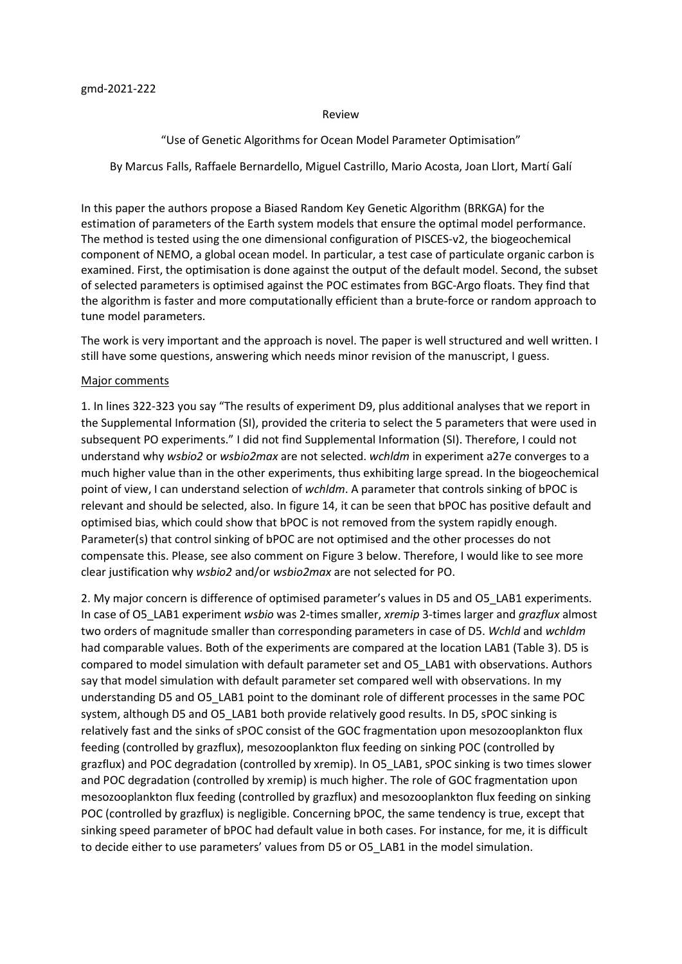### Review

# "Use of Genetic Algorithms for Ocean Model Parameter Optimisation"

By Marcus Falls, Raffaele Bernardello, Miguel Castrillo, Mario Acosta, Joan Llort, Martí Galí

In this paper the authors propose a Biased Random Key Genetic Algorithm (BRKGA) for the estimation of parameters of the Earth system models that ensure the optimal model performance. The method is tested using the one dimensional configuration of PISCES-v2, the biogeochemical component of NEMO, a global ocean model. In particular, a test case of particulate organic carbon is examined. First, the optimisation is done against the output of the default model. Second, the subset of selected parameters is optimised against the POC estimates from BGC-Argo floats. They find that the algorithm is faster and more computationally efficient than a brute-force or random approach to tune model parameters.

The work is very important and the approach is novel. The paper is well structured and well written. I still have some questions, answering which needs minor revision of the manuscript, I guess.

## Major comments

1. In lines 322-323 you say "The results of experiment D9, plus additional analyses that we report in the Supplemental Information (SI), provided the criteria to select the 5 parameters that were used in subsequent PO experiments." I did not find Supplemental Information (SI). Therefore, I could not understand why wsbio2 or wsbio2max are not selected. wchldm in experiment a27e converges to a much higher value than in the other experiments, thus exhibiting large spread. In the biogeochemical point of view, I can understand selection of wchldm. A parameter that controls sinking of bPOC is relevant and should be selected, also. In figure 14, it can be seen that bPOC has positive default and optimised bias, which could show that bPOC is not removed from the system rapidly enough. Parameter(s) that control sinking of bPOC are not optimised and the other processes do not compensate this. Please, see also comment on Figure 3 below. Therefore, I would like to see more clear justification why wsbio2 and/or wsbio2max are not selected for PO.

2. My major concern is difference of optimised parameter's values in D5 and O5\_LAB1 experiments. In case of O5\_LAB1 experiment wsbio was 2-times smaller, xremip 3-times larger and grazflux almost two orders of magnitude smaller than corresponding parameters in case of D5. Wchld and wchldm had comparable values. Both of the experiments are compared at the location LAB1 (Table 3). D5 is compared to model simulation with default parameter set and O5\_LAB1 with observations. Authors say that model simulation with default parameter set compared well with observations. In my understanding D5 and O5\_LAB1 point to the dominant role of different processes in the same POC system, although D5 and O5\_LAB1 both provide relatively good results. In D5, sPOC sinking is relatively fast and the sinks of sPOC consist of the GOC fragmentation upon mesozooplankton flux feeding (controlled by grazflux), mesozooplankton flux feeding on sinking POC (controlled by grazflux) and POC degradation (controlled by xremip). In O5\_LAB1, sPOC sinking is two times slower and POC degradation (controlled by xremip) is much higher. The role of GOC fragmentation upon mesozooplankton flux feeding (controlled by grazflux) and mesozooplankton flux feeding on sinking POC (controlled by grazflux) is negligible. Concerning bPOC, the same tendency is true, except that sinking speed parameter of bPOC had default value in both cases. For instance, for me, it is difficult to decide either to use parameters' values from D5 or O5\_LAB1 in the model simulation.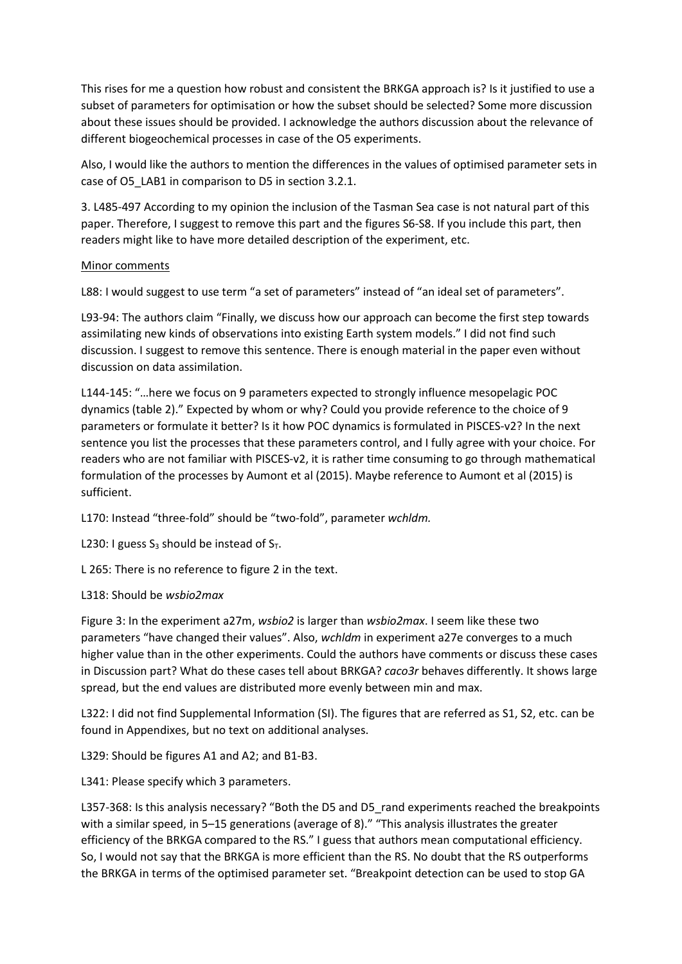This rises for me a question how robust and consistent the BRKGA approach is? Is it justified to use a subset of parameters for optimisation or how the subset should be selected? Some more discussion about these issues should be provided. I acknowledge the authors discussion about the relevance of different biogeochemical processes in case of the O5 experiments.

Also, I would like the authors to mention the differences in the values of optimised parameter sets in case of O5\_LAB1 in comparison to D5 in section 3.2.1.

3. L485-497 According to my opinion the inclusion of the Tasman Sea case is not natural part of this paper. Therefore, I suggest to remove this part and the figures S6-S8. If you include this part, then readers might like to have more detailed description of the experiment, etc.

## Minor comments

L88: I would suggest to use term "a set of parameters" instead of "an ideal set of parameters".

L93-94: The authors claim "Finally, we discuss how our approach can become the first step towards assimilating new kinds of observations into existing Earth system models." I did not find such discussion. I suggest to remove this sentence. There is enough material in the paper even without discussion on data assimilation.

L144-145: "…here we focus on 9 parameters expected to strongly influence mesopelagic POC dynamics (table 2)." Expected by whom or why? Could you provide reference to the choice of 9 parameters or formulate it better? Is it how POC dynamics is formulated in PISCES-v2? In the next sentence you list the processes that these parameters control, and I fully agree with your choice. For readers who are not familiar with PISCES-v2, it is rather time consuming to go through mathematical formulation of the processes by Aumont et al (2015). Maybe reference to Aumont et al (2015) is sufficient.

L170: Instead "three-fold" should be "two-fold", parameter wchldm.

L230: I guess  $S_3$  should be instead of  $S_T$ .

L 265: There is no reference to figure 2 in the text.

## L318: Should be wsbio2max

Figure 3: In the experiment a27m, wsbio2 is larger than wsbio2max. I seem like these two parameters "have changed their values". Also, wchldm in experiment a27e converges to a much higher value than in the other experiments. Could the authors have comments or discuss these cases in Discussion part? What do these cases tell about BRKGA? *caco3r* behaves differently. It shows large spread, but the end values are distributed more evenly between min and max.

L322: I did not find Supplemental Information (SI). The figures that are referred as S1, S2, etc. can be found in Appendixes, but no text on additional analyses.

L329: Should be figures A1 and A2; and B1-B3.

L341: Please specify which 3 parameters.

L357-368: Is this analysis necessary? "Both the D5 and D5\_rand experiments reached the breakpoints with a similar speed, in 5–15 generations (average of 8)." "This analysis illustrates the greater efficiency of the BRKGA compared to the RS." I guess that authors mean computational efficiency. So, I would not say that the BRKGA is more efficient than the RS. No doubt that the RS outperforms the BRKGA in terms of the optimised parameter set. "Breakpoint detection can be used to stop GA